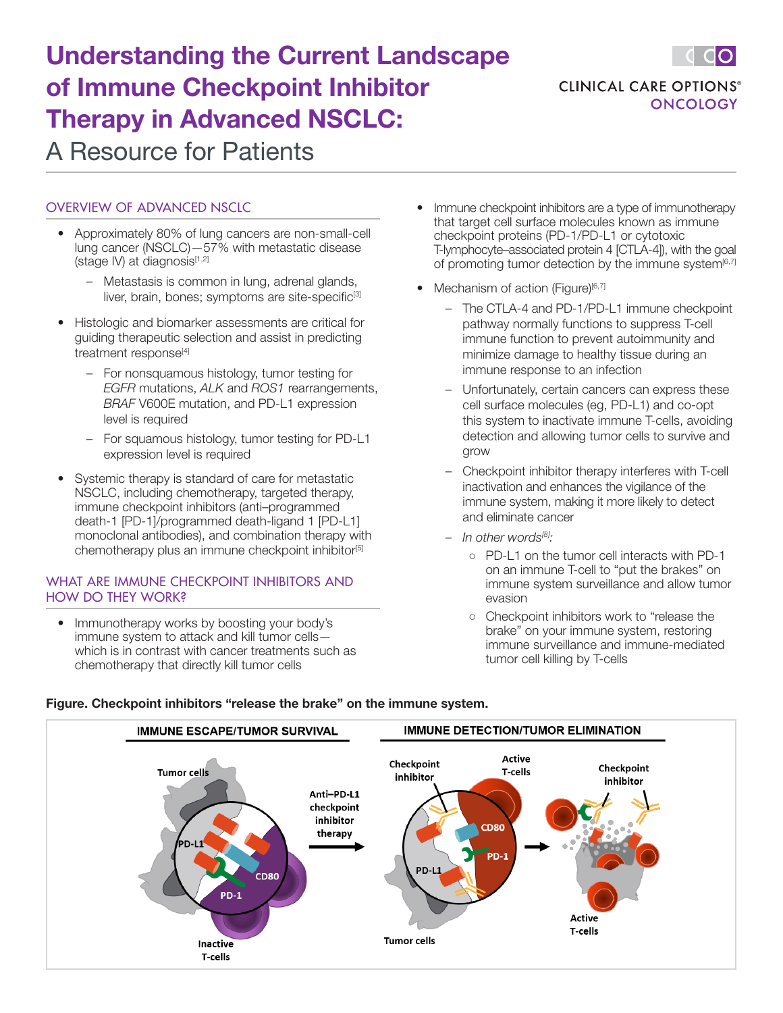# Understanding the Current Landscape of Immune Checkpoint Inhibitor Therapy in Advanced NSCLC: A Resource for Patients



# OVERVIEW OF ADVANCED NSCLC

- Approximately 80% of lung cancers are non-small-cell lung cancer (NSCLC)—57% with metastatic disease (stage IV) at diagnosis $[1,2]$ 
	- Metastasis is common in lung, adrenal glands, liver, brain, bones; symptoms are site-specific<sup>[3]</sup>
- Histologic and biomarker assessments are critical for guiding therapeutic selection and assist in predicting treatment response<sup>[4]</sup>
	- For nonsquamous histology, tumor testing for *EGFR* mutations, *ALK* and *ROS1* rearrangements, *BRAF* V600E mutation, and PD-L1 expression level is required
	- For squamous histology, tumor testing for PD-L1 expression level is required
- Systemic therapy is standard of care for metastatic NSCLC, including chemotherapy, targeted therapy, immune checkpoint inhibitors (anti–programmed death-1 [PD-1]/programmed death-ligand 1 [PD-L1] monoclonal antibodies), and combination therapy with chemotherapy plus an immune checkpoint inhibitor<sup>[5]</sup>

# WHAT ARE IMMUNE CHECKPOINT INHIBITORS AND HOW DO THEY WORK?

• Immunotherapy works by boosting your body's immune system to attack and kill tumor cells which is in contrast with cancer treatments such as chemotherapy that directly kill tumor cells

- Immune checkpoint inhibitors are a type of immunotherapy that target cell surface molecules known as immune checkpoint proteins (PD-1/PD-L1 or cytotoxic T-lymphocyte–associated protein 4 [CTLA-4]), with the goal of promoting tumor detection by the immune system<sup>[6,7]</sup>
- Mechanism of action (Figure) $[6,7]$ 
	- The CTLA-4 and PD-1/PD-L1 immune checkpoint pathway normally functions to suppress T-cell immune function to prevent autoimmunity and minimize damage to healthy tissue during an immune response to an infection
	- Unfortunately, certain cancers can express these cell surface molecules (eg, PD-L1) and co-opt this system to inactivate immune T-cells, avoiding detection and allowing tumor cells to survive and grow
	- Checkpoint inhibitor therapy interferes with T-cell inactivation and enhances the vigilance of the immune system, making it more likely to detect and eliminate cancer
	- *In other words[8]:*
		- PD-L1 on the tumor cell interacts with PD-1 on an immune T-cell to "put the brakes" on immune system surveillance and allow tumor evasion
		- Checkpoint inhibitors work to "release the brake" on your immune system, restoring immune surveillance and immune-mediated tumor cell killing by T-cells



# **Figure. Checkpoint inhibitors "release the brake" on the immune system.**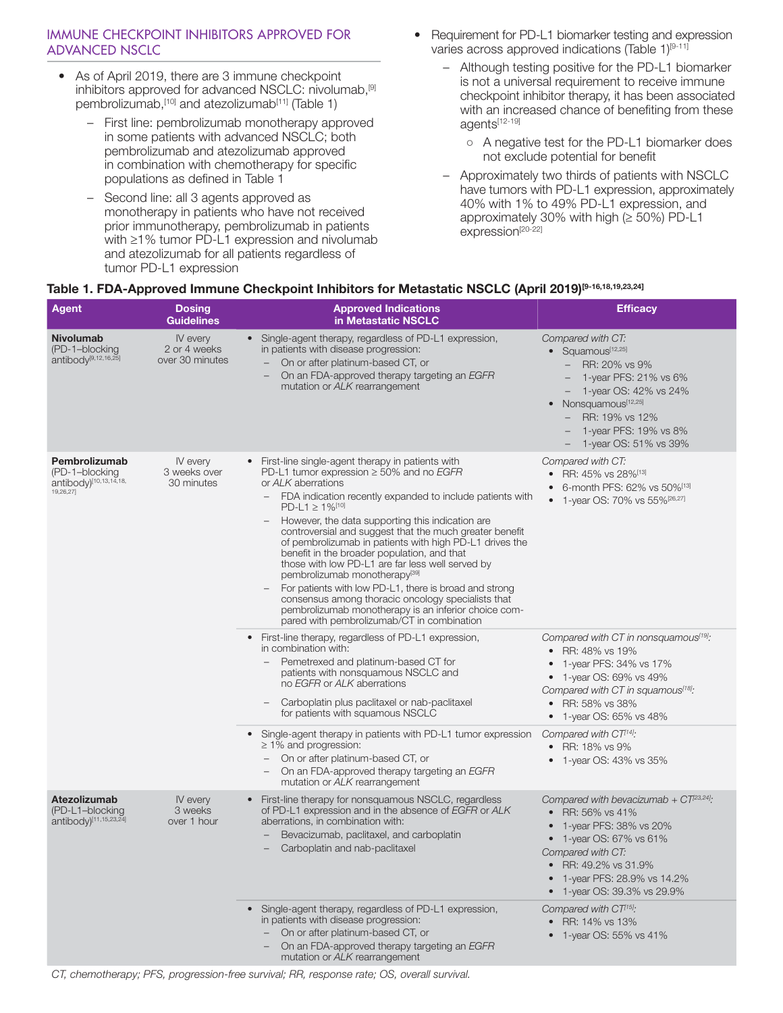# IMMUNE CHECKPOINT INHIBITORS APPROVED FOR ADVANCED NSCLC

- As of April 2019, there are 3 immune checkpoint inhibitors approved for advanced NSCLC: nivolumab,[9] pembrolizumab, [10] and atezolizumab<sup>[11]</sup> (Table 1)
	- First line: pembrolizumab monotherapy approved in some patients with advanced NSCLC; both pembrolizumab and atezolizumab approved in combination with chemotherapy for specific populations as defined in Table 1
	- Second line: all 3 agents approved as monotherapy in patients who have not received prior immunotherapy, pembrolizumab in patients with ≥1% tumor PD-L1 expression and nivolumab and atezolizumab for all patients regardless of tumor PD-L1 expression
- Requirement for PD-L1 biomarker testing and expression varies across approved indications (Table 1)<sup>[9-11]</sup>
	- Although testing positive for the PD-L1 biomarker is not a universal requirement to receive immune checkpoint inhibitor therapy, it has been associated with an increased chance of benefiting from these agents[12-19]
		- A negative test for the PD-L1 biomarker does not exclude potential for benefit
	- Approximately two thirds of patients with NSCLC have tumors with PD-L1 expression, approximately 40% with 1% to 49% PD-L1 expression, and approximately 30% with high (≥ 50%) PD-L1 expression<sup>[20-22]</sup>

# **Table 1. FDA-Approved Immune Checkpoint Inhibitors for Metastatic NSCLC (April 2019)[9-16,18,19,23,24]**

| Agent                                                                        | <b>Dosing</b><br><b>Guidelines</b>          | <b>Approved Indications</b><br>in Metastatic NSCLC                                                                                                                                                                                                                                                                                                                                                                                                                                                                                                                                                                                                                                                                                                                               | <b>Efficacy</b>                                                                                                                                                                                                                                     |
|------------------------------------------------------------------------------|---------------------------------------------|----------------------------------------------------------------------------------------------------------------------------------------------------------------------------------------------------------------------------------------------------------------------------------------------------------------------------------------------------------------------------------------------------------------------------------------------------------------------------------------------------------------------------------------------------------------------------------------------------------------------------------------------------------------------------------------------------------------------------------------------------------------------------------|-----------------------------------------------------------------------------------------------------------------------------------------------------------------------------------------------------------------------------------------------------|
| <b>Nivolumab</b><br>(PD-1-blocking<br>antibody <sup>[9,12,16,25]</sup>       | IV every<br>2 or 4 weeks<br>over 30 minutes | • Single-agent therapy, regardless of PD-L1 expression,<br>in patients with disease progression:<br>On or after platinum-based CT, or<br>On an FDA-approved therapy targeting an EGFR<br>mutation or ALK rearrangement                                                                                                                                                                                                                                                                                                                                                                                                                                                                                                                                                           | Compared with CT:<br>• Squamous[12,25]<br>RR: 20% vs 9%<br>$\qquad \qquad -$<br>1-year PFS: 21% vs 6%<br>1-year OS: 42% vs 24%<br>Nonsquamous[12,25]<br>$\bullet$<br>RR: 19% vs 12%<br>1-year PFS: 19% vs 8%<br>1-year OS: 51% vs 39%               |
| Pembrolizumab<br>(PD-1-blocking<br>antibody)[10,13,14,18,<br>19,26,27]       | IV every<br>3 weeks over<br>30 minutes      | • First-line single-agent therapy in patients with<br>PD-L1 tumor expression $\geq$ 50% and no <i>EGFR</i><br>or ALK aberrations<br>FDA indication recently expanded to include patients with<br>$PD-L1 \ge 1\%$ <sup>[10]</sup><br>However, the data supporting this indication are<br>controversial and suggest that the much greater benefit<br>of pembrolizumab in patients with high PD-L1 drives the<br>benefit in the broader population, and that<br>those with low PD-L1 are far less well served by<br>pembrolizumab monotherapy <sup>[39]</sup><br>For patients with low PD-L1, there is broad and strong<br>consensus among thoracic oncology specialists that<br>pembrolizumab monotherapy is an inferior choice com-<br>pared with pembrolizumab/CT in combination | Compared with CT:<br>• RR: 45% vs 28% <sup>[13]</sup><br>6-month PFS: 62% vs 50%[13]<br>1-year OS: 70% vs 55% <sup>[26,27]</sup>                                                                                                                    |
|                                                                              |                                             | • First-line therapy, regardless of PD-L1 expression,<br>in combination with:<br>Pemetrexed and platinum-based CT for<br>patients with nonsquamous NSCLC and<br>no EGFR or ALK aberrations<br>Carboplatin plus paclitaxel or nab-paclitaxel<br>for patients with squamous NSCLC                                                                                                                                                                                                                                                                                                                                                                                                                                                                                                  | Compared with CT in nonsquamous <sup>[19]</sup> :<br>• RR: 48% vs 19%<br>1-year PFS: 34% vs 17%<br>$\bullet$<br>1-year OS: 69% vs 49%<br>Compared with CT in squamous <sup>[18]</sup> :<br>• RR: 58% vs 38%<br>1-year OS: 65% vs 48%                |
|                                                                              |                                             | • Single-agent therapy in patients with PD-L1 tumor expression<br>$\geq$ 1% and progression:<br>On or after platinum-based CT, or<br>On an FDA-approved therapy targeting an EGFR<br>$\overline{\phantom{0}}$<br>mutation or ALK rearrangement                                                                                                                                                                                                                                                                                                                                                                                                                                                                                                                                   | Compared with CT <sup>[14]</sup> :<br>• RR: 18% vs 9%<br>1-year OS: 43% vs 35%                                                                                                                                                                      |
| <b>Atezolizumab</b><br>(PD-L1-blocking<br>antibody) <sup>[11,15,23,24]</sup> | IV every<br>3 weeks<br>over 1 hour          | • First-line therapy for nonsquamous NSCLC, regardless<br>of PD-L1 expression and in the absence of EGFR or ALK<br>aberrations, in combination with:<br>Bevacizumab, paclitaxel, and carboplatin<br>Carboplatin and nab-paclitaxel                                                                                                                                                                                                                                                                                                                                                                                                                                                                                                                                               | Compared with bevacizumab + $CT^{23,24}$ .<br>• RR: 56% vs 41%<br>1-year PFS: 38% vs 20%<br>$\bullet$<br>1-year OS: 67% vs 61%<br>$\bullet$<br>Compared with CT:<br>• RR: 49.2% vs 31.9%<br>1-year PFS: 28.9% vs 14.2%<br>1-year OS: 39.3% vs 29.9% |
|                                                                              |                                             | • Single-agent therapy, regardless of PD-L1 expression,<br>in patients with disease progression:<br>- On or after platinum-based CT, or<br>On an FDA-approved therapy targeting an EGFR<br>mutation or ALK rearrangement                                                                                                                                                                                                                                                                                                                                                                                                                                                                                                                                                         | Compared with CT <sup>15]</sup> :<br>• RR: 14% vs 13%<br>• 1-year OS: 55% vs 41%                                                                                                                                                                    |

*CT, chemotherapy; PFS, progression-free survival; RR, response rate; OS, overall survival.*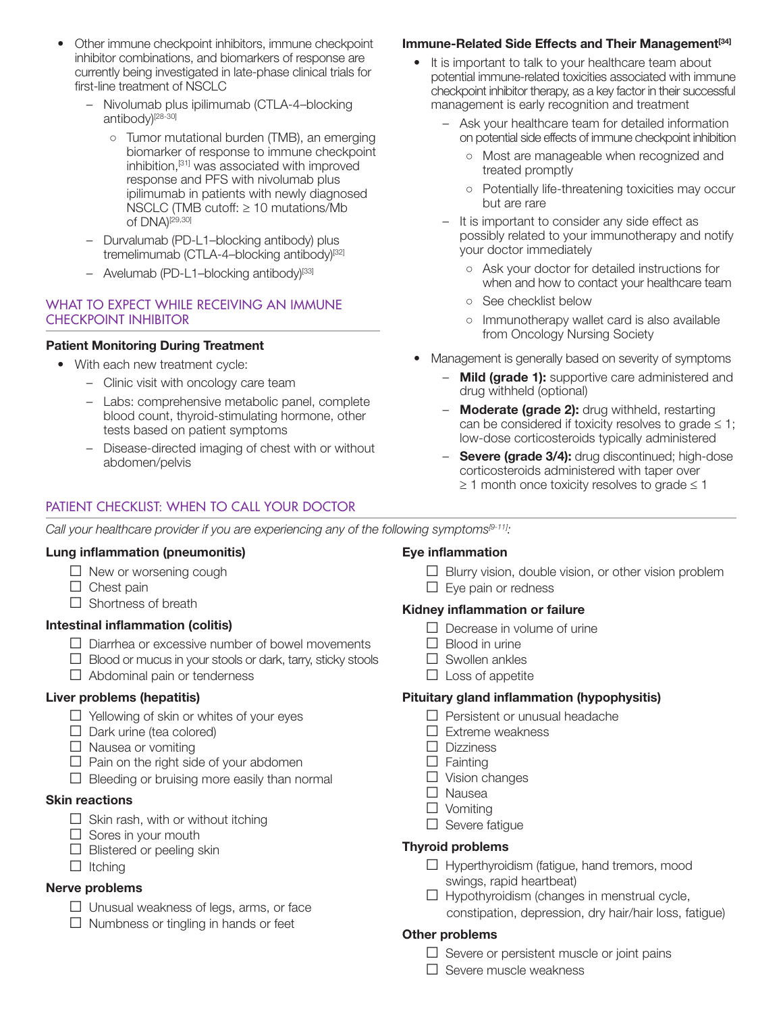- Other immune checkpoint inhibitors, immune checkpoint inhibitor combinations, and biomarkers of response are currently being investigated in late-phase clinical trials for first-line treatment of NSCLC
	- Nivolumab plus ipilimumab (CTLA-4–blocking antibody)<sup>[28-30]</sup>
		- Tumor mutational burden (TMB), an emerging biomarker of response to immune checkpoint inhibition,[31] was associated with improved response and PFS with nivolumab plus ipilimumab in patients with newly diagnosed NSCLC (TMB cutoff: ≥ 10 mutations/Mb of DNA)<sup>[29,30]</sup>
	- Durvalumab (PD-L1–blocking antibody) plus tremelimumab (CTLA-4-blocking antibody)<sup>[32]</sup>
	- Avelumab (PD-L1-blocking antibody)[33]

# WHAT TO EXPECT WHILE RECEIVING AN IMMUNE CHECKPOINT INHIBITOR

# **Patient Monitoring During Treatment**

- With each new treatment cycle:
	- Clinic visit with oncology care team
	- Labs: comprehensive metabolic panel, complete blood count, thyroid-stimulating hormone, other tests based on patient symptoms
	- Disease-directed imaging of chest with or without abdomen/pelvis

# PATIENT CHECKLIST: WHEN TO CALL YOUR DOCTOR

# **Immune-Related Side Effects and Their Management<sup>[34]</sup>**

- It is important to talk to your healthcare team about potential immune-related toxicities associated with immune checkpoint inhibitor therapy, as a key factor in their successful management is early recognition and treatment
	- Ask your healthcare team for detailed information on potential side effects of immune checkpoint inhibition
		- Most are manageable when recognized and treated promptly
		- Potentially life-threatening toxicities may occur but are rare
	- It is important to consider any side effect as possibly related to your immunotherapy and notify your doctor immediately
		- Ask your doctor for detailed instructions for when and how to contact your healthcare team
		- See checklist below
		- Immunotherapy wallet card is also available from Oncology Nursing Society
- Management is generally based on severity of symptoms
	- **Mild (grade 1):** supportive care administered and drug withheld (optional)
	- **Moderate (grade 2):** drug withheld, restarting can be considered if toxicity resolves to grade  $\leq 1$ ; low-dose corticosteroids typically administered
	- **Severe (grade 3/4):** drug discontinued; high-dose corticosteroids administered with taper over  $\geq$  1 month once toxicity resolves to grade  $\leq$  1

*Call your healthcare provider if you are experiencing any of the following symptoms[9-11]:*

#### **Lung inflammation (pneumonitis)**

- $\Box$  New or worsening cough
- $\Box$  Chest pain
- □ Shortness of breath

# **Intestinal inflammation (colitis)**

- $\Box$  Diarrhea or excessive number of bowel movements
- $\Box$  Blood or mucus in your stools or dark, tarry, sticky stools
- $\Box$  Abdominal pain or tenderness

# **Liver problems (hepatitis)**

- $\Box$  Yellowing of skin or whites of your eyes
- $\Box$  Dark urine (tea colored)
- $\Box$  Nausea or vomiting
- $\Box$  Pain on the right side of your abdomen
- $\Box$  Bleeding or bruising more easily than normal

# **Skin reactions**

- $\Box$  Skin rash, with or without itching
- $\Box$  Sores in your mouth
- $\Box$  Blistered or peeling skin
- □ Itching

# **Nerve problems**

- $\Box$  Unusual weakness of legs, arms, or face
- $\Box$  Numbness or tingling in hands or feet

# **Eye inflammation**

- $\Box$  Blurry vision, double vision, or other vision problem
- $\Box$  Eye pain or redness

#### **Kidney inflammation or failure**

- $\Box$  Decrease in volume of urine
- $\Box$  Blood in urine
- □ Swollen ankles
- $\Box$  Loss of appetite

# **Pituitary gland inflammation (hypophysitis)**

- $\Box$  Persistent or unusual headache
- $\Box$  Extreme weakness
- □ Dizziness
- $\Box$  Fainting
- $\Box$  Vision changes
- □ Nausea
- □ Vomiting
- $\square$  Severe fatigue

#### **Thyroid problems**

- $\Box$  Hyperthyroidism (fatigue, hand tremors, mood swings, rapid heartbeat)
- $\Box$  Hypothyroidism (changes in menstrual cycle, constipation, depression, dry hair/hair loss, fatigue)

# **Other problems**

- $\Box$  Severe or persistent muscle or joint pains
- $\Box$  Severe muscle weakness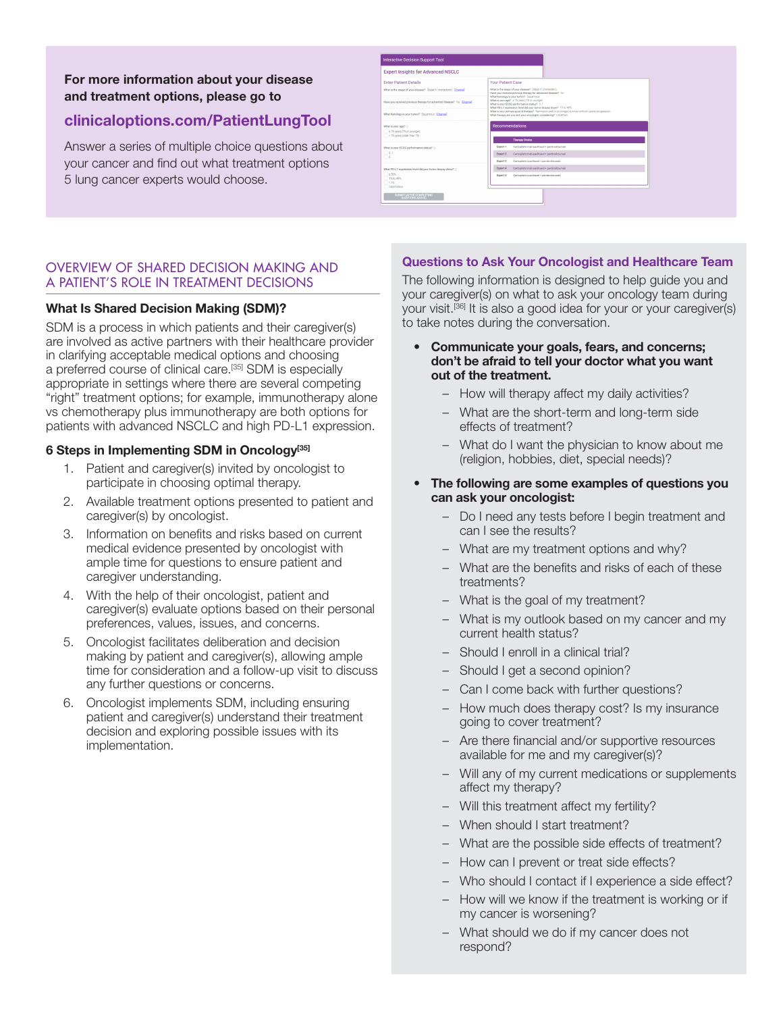**For more information about your disease and treatment options, please go to**

# **clinicaloptions.com/PatientLungTool**

Answer a series of multiple choice questions about your cancer and find out what treatment options 5 lung cancer experts would choose.

| <b>Expert Insights for Advanced NSCLC</b>                            |                                                                                                                                                                         |  |  |
|----------------------------------------------------------------------|-------------------------------------------------------------------------------------------------------------------------------------------------------------------------|--|--|
| <b>Enter Patient Details</b>                                         | <b>Your Patient Case</b>                                                                                                                                                |  |  |
| What is the stage of your disease? Stage fif (metastatic) [Change]   | What is the stage of your disease? Stage M (metastatic)<br>Have you received previous therapy for advanced disease? No<br>What Hatology is your tumor? Squarrous        |  |  |
| Have you received previous therapy for advanced disease? No (Change) | What is your age? = 75 years (75 or younger)<br>What is your EDDG performance status? 0.1<br>What PD-L1 expression level did your turnor bloosy show? 1% to 49%         |  |  |
| What histology is your tumor? Squarrous (Change)                     | What is your primary goal of therapy? Remission and/or prolonged survival without cancer progression<br>What therapy are you and your oncologist considering? Uncertain |  |  |
| What is your age? ()<br>s 75 years (75 or your pir)                  | Recommendations                                                                                                                                                         |  |  |
| > 75 years (older than 75)                                           | <b>Therapy Choice</b>                                                                                                                                                   |  |  |
| What is your EDDG performance status?                                | Carboplatin/nab-pacifized + pembrolizumab<br>Expert 1                                                                                                                   |  |  |
| 0.1<br>12                                                            | Carboplatin/nab-pacitzael + pembrolizumab<br>Expert 2                                                                                                                   |  |  |
|                                                                      | Carboolatin/pacifized+ pembrolizumab<br>Expert 3                                                                                                                        |  |  |
| What PD-L1 expression level did your tempr bicosy show? (i)          | Carboplatin/nab-pacitazel + pembrolizumab<br>Expert 4                                                                                                                   |  |  |
| $2.50\%$<br>115.50.40%                                               | Carboplatin/pacifisosi + pembrolizumab<br>Expert 5                                                                                                                      |  |  |
| 14.1%                                                                |                                                                                                                                                                         |  |  |

## OVERVIEW OF SHARED DECISION MAKING AND A PATIENT'S ROLE IN TREATMENT DECISIONS

### **What Is Shared Decision Making (SDM)?**

SDM is a process in which patients and their caregiver(s) are involved as active partners with their healthcare provider in clarifying acceptable medical options and choosing a preferred course of clinical care.[35] SDM is especially appropriate in settings where there are several competing "right" treatment options; for example, immunotherapy alone vs chemotherapy plus immunotherapy are both options for patients with advanced NSCLC and high PD-L1 expression.

# **6 Steps in Implementing SDM in Oncology[35]**

- 1. Patient and caregiver(s) invited by oncologist to participate in choosing optimal therapy.
- 2. Available treatment options presented to patient and caregiver(s) by oncologist.
- 3. Information on benefits and risks based on current medical evidence presented by oncologist with ample time for questions to ensure patient and caregiver understanding.
- 4. With the help of their oncologist, patient and caregiver(s) evaluate options based on their personal preferences, values, issues, and concerns.
- 5. Oncologist facilitates deliberation and decision making by patient and caregiver(s), allowing ample time for consideration and a follow-up visit to discuss any further questions or concerns.
- 6. Oncologist implements SDM, including ensuring patient and caregiver(s) understand their treatment decision and exploring possible issues with its implementation.

### **Questions to Ask Your Oncologist and Healthcare Team**

The following information is designed to help guide you and your caregiver(s) on what to ask your oncology team during your visit.[36] It is also a good idea for your or your caregiver(s) to take notes during the conversation.

#### **• Communicate your goals, fears, and concerns; don't be afraid to tell your doctor what you want out of the treatment.**

- How will therapy affect my daily activities?
- What are the short-term and long-term side effects of treatment?
- What do I want the physician to know about me (religion, hobbies, diet, special needs)?
- **• The following are some examples of questions you can ask your oncologist:**
	- Do I need any tests before I begin treatment and can I see the results?
	- What are my treatment options and why?
	- What are the benefits and risks of each of these treatments?
	- What is the goal of my treatment?
	- What is my outlook based on my cancer and my current health status?
	- Should I enroll in a clinical trial?
	- Should I get a second opinion?
	- Can I come back with further questions?
	- How much does therapy cost? Is my insurance going to cover treatment?
	- Are there financial and/or supportive resources available for me and my caregiver(s)?
	- Will any of my current medications or supplements affect my therapy?
	- Will this treatment affect my fertility?
	- When should I start treatment?
	- What are the possible side effects of treatment?
	- How can I prevent or treat side effects?
	- Who should I contact if I experience a side effect?
	- How will we know if the treatment is working or if my cancer is worsening?
	- What should we do if my cancer does not respond?